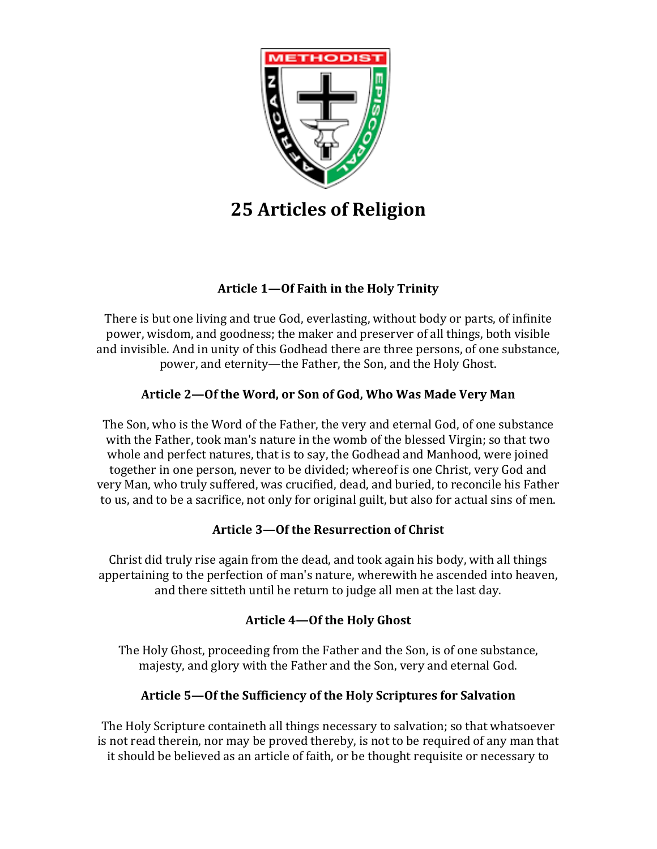

# **25 Articles of Religion**

# Article 1-Of Faith in the Holy Trinity

There is but one living and true God, everlasting, without body or parts, of infinite power, wisdom, and goodness; the maker and preserver of all things, both visible and invisible. And in unity of this Godhead there are three persons, of one substance, power, and eternity—the Father, the Son, and the Holy Ghost.

# Article 2-Of the Word, or Son of God, Who Was Made Very Man

The Son, who is the Word of the Father, the very and eternal God, of one substance with the Father, took man's nature in the womb of the blessed Virgin; so that two whole and perfect natures, that is to say, the Godhead and Manhood, were joined together in one person, never to be divided; whereof is one Christ, very God and very Man, who truly suffered, was crucified, dead, and buried, to reconcile his Father to us, and to be a sacrifice, not only for original guilt, but also for actual sins of men.

# Article 3-Of the Resurrection of Christ

Christ did truly rise again from the dead, and took again his body, with all things appertaining to the perfection of man's nature, wherewith he ascended into heaven, and there sitteth until he return to judge all men at the last day.

# Article 4-Of the Holy Ghost

The Holy Ghost, proceeding from the Father and the Son, is of one substance, majesty, and glory with the Father and the Son, very and eternal God.

# Article 5-Of the Sufficiency of the Holy Scriptures for Salvation

The Holy Scripture containeth all things necessary to salvation; so that whatsoever is not read therein, nor may be proved thereby, is not to be required of any man that it should be believed as an article of faith, or be thought requisite or necessary to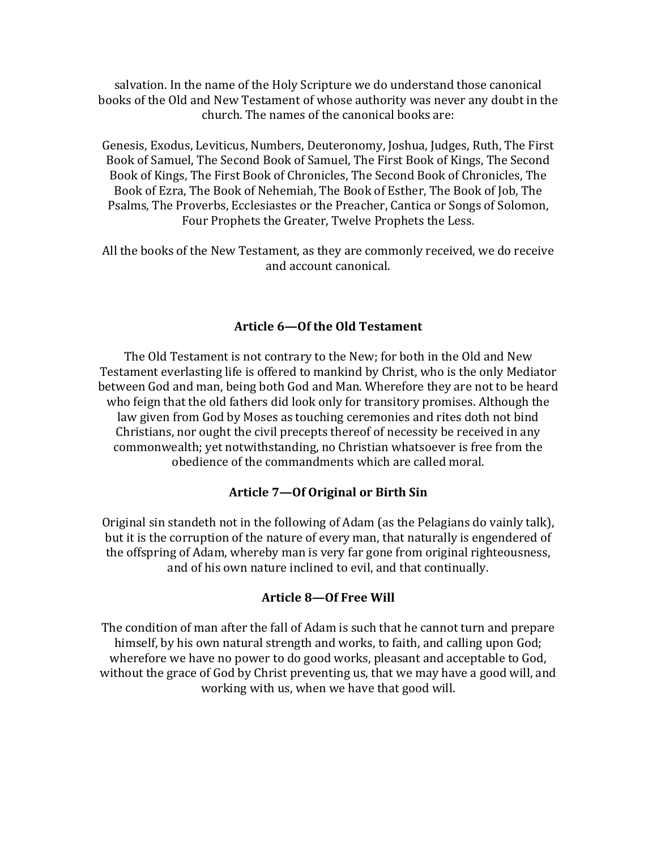salvation. In the name of the Holy Scripture we do understand those canonical books of the Old and New Testament of whose authority was never any doubt in the church. The names of the canonical books are:

Genesis, Exodus, Leviticus, Numbers, Deuteronomy, Joshua, Judges, Ruth, The First Book of Samuel, The Second Book of Samuel, The First Book of Kings, The Second Book of Kings, The First Book of Chronicles, The Second Book of Chronicles, The Book of Ezra, The Book of Nehemiah, The Book of Esther, The Book of Job, The Psalms, The Proverbs, Ecclesiastes or the Preacher, Cantica or Songs of Solomon, Four Prophets the Greater, Twelve Prophets the Less.

All the books of the New Testament, as they are commonly received, we do receive and account canonical.

### Article 6-Of the Old Testament

The Old Testament is not contrary to the New; for both in the Old and New Testament everlasting life is offered to mankind by Christ, who is the only Mediator between God and man, being both God and Man. Wherefore they are not to be heard who feign that the old fathers did look only for transitory promises. Although the law given from God by Moses as touching ceremonies and rites doth not bind Christians, nor ought the civil precepts thereof of necessity be received in any commonwealth; yet notwithstanding, no Christian whatsoever is free from the obedience of the commandments which are called moral.

### Article **7—Of Original or Birth Sin**

Original sin standeth not in the following of Adam (as the Pelagians do vainly talk), but it is the corruption of the nature of every man, that naturally is engendered of the offspring of Adam, whereby man is very far gone from original righteousness, and of his own nature inclined to evil, and that continually.

### Article 8-Of Free Will

The condition of man after the fall of Adam is such that he cannot turn and prepare himself, by his own natural strength and works, to faith, and calling upon God; wherefore we have no power to do good works, pleasant and acceptable to God, without the grace of God by Christ preventing us, that we may have a good will, and working with us, when we have that good will.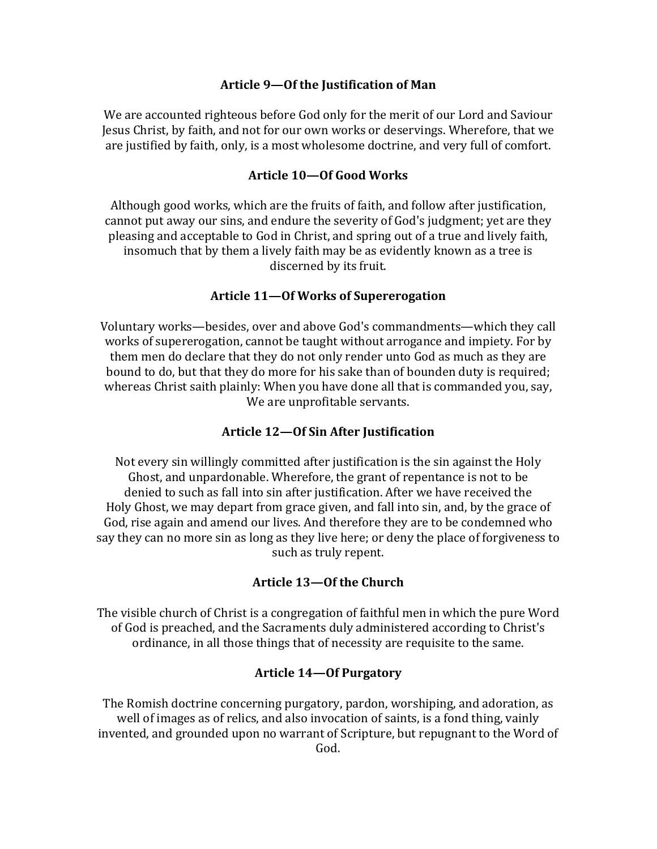### Article 9-Of the Justification of Man

We are accounted righteous before God only for the merit of our Lord and Saviour Jesus Christ, by faith, and not for our own works or deservings. Wherefore, that we are justified by faith, only, is a most wholesome doctrine, and very full of comfort.

#### Article 10-Of Good Works

Although good works, which are the fruits of faith, and follow after justification, cannot put away our sins, and endure the severity of God's judgment; yet are they pleasing and acceptable to God in Christ, and spring out of a true and lively faith, insomuch that by them a lively faith may be as evidently known as a tree is discerned by its fruit.

#### Article 11—Of Works of Supererogation

Voluntary works—besides, over and above God's commandments—which they call works of supererogation, cannot be taught without arrogance and impiety. For by them men do declare that they do not only render unto God as much as they are bound to do, but that they do more for his sake than of bounden duty is required; whereas Christ saith plainly: When you have done all that is commanded you, say, We are unprofitable servants.

### **Article 12—Of Sin After Justification**

Not every sin willingly committed after justification is the sin against the Holy Ghost, and unpardonable. Wherefore, the grant of repentance is not to be denied to such as fall into sin after justification. After we have received the Holy Ghost, we may depart from grace given, and fall into sin, and, by the grace of God, rise again and amend our lives. And therefore they are to be condemned who say they can no more sin as long as they live here; or deny the place of forgiveness to such as truly repent.

### **Article 13—Of the Church**

The visible church of Christ is a congregation of faithful men in which the pure Word of God is preached, and the Sacraments duly administered according to Christ's ordinance, in all those things that of necessity are requisite to the same.

#### **Article 14—Of Purgatory**

The Romish doctrine concerning purgatory, pardon, worshiping, and adoration, as well of images as of relics, and also invocation of saints, is a fond thing, vainly invented, and grounded upon no warrant of Scripture, but repugnant to the Word of God.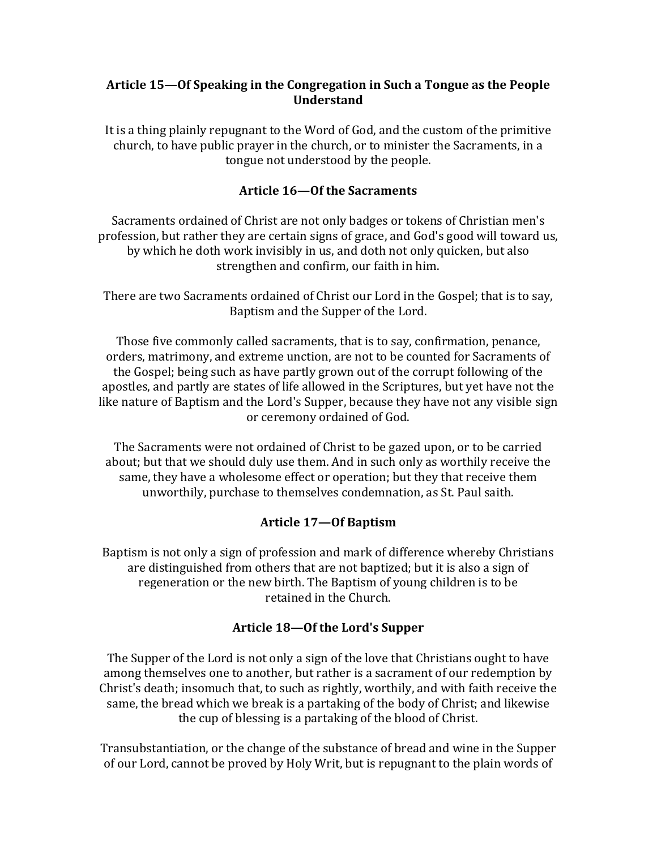# Article 15—Of Speaking in the Congregation in Such a Tongue as the People **Understand**

It is a thing plainly repugnant to the Word of God, and the custom of the primitive church, to have public prayer in the church, or to minister the Sacraments, in a tongue not understood by the people.

## Article 16-Of the Sacraments

Sacraments ordained of Christ are not only badges or tokens of Christian men's profession, but rather they are certain signs of grace, and God's good will toward us, by which he doth work invisibly in us, and doth not only quicken, but also strengthen and confirm, our faith in him.

There are two Sacraments ordained of Christ our Lord in the Gospel; that is to say, Baptism and the Supper of the Lord.

Those five commonly called sacraments, that is to say, confirmation, penance, orders, matrimony, and extreme unction, are not to be counted for Sacraments of the Gospel; being such as have partly grown out of the corrupt following of the apostles, and partly are states of life allowed in the Scriptures, but yet have not the like nature of Baptism and the Lord's Supper, because they have not any visible sign or ceremony ordained of God.

The Sacraments were not ordained of Christ to be gazed upon, or to be carried about; but that we should duly use them. And in such only as worthily receive the same, they have a wholesome effect or operation; but they that receive them unworthily, purchase to themselves condemnation, as St. Paul saith.

### **Article 17—Of Baptism**

Baptism is not only a sign of profession and mark of difference whereby Christians are distinguished from others that are not baptized; but it is also a sign of regeneration or the new birth. The Baptism of young children is to be retained in the Church.

# Article 18-Of the Lord's Supper

The Supper of the Lord is not only a sign of the love that Christians ought to have among themselves one to another, but rather is a sacrament of our redemption by Christ's death; insomuch that, to such as rightly, worthily, and with faith receive the same, the bread which we break is a partaking of the body of Christ; and likewise the cup of blessing is a partaking of the blood of Christ.

Transubstantiation, or the change of the substance of bread and wine in the Supper of our Lord, cannot be proved by Holy Writ, but is repugnant to the plain words of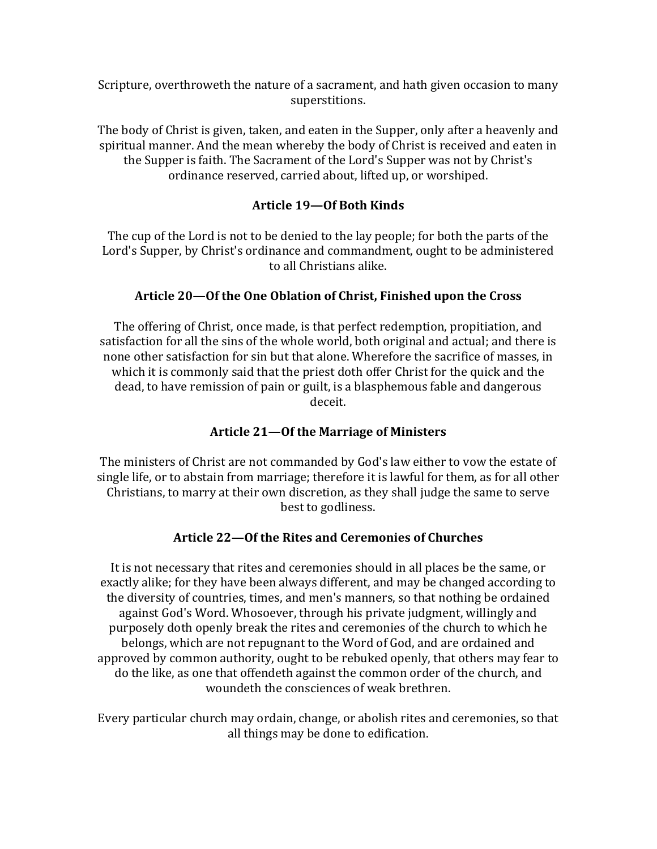Scripture, overthroweth the nature of a sacrament, and hath given occasion to many superstitions.

The body of Christ is given, taken, and eaten in the Supper, only after a heavenly and spiritual manner. And the mean whereby the body of Christ is received and eaten in the Supper is faith. The Sacrament of the Lord's Supper was not by Christ's ordinance reserved, carried about, lifted up, or worshiped.

# **Article 19—Of Both Kinds**

The cup of the Lord is not to be denied to the lay people; for both the parts of the Lord's Supper, by Christ's ordinance and commandment, ought to be administered to all Christians alike.

# Article 20—Of the One Oblation of Christ, Finished upon the Cross

The offering of Christ, once made, is that perfect redemption, propitiation, and satisfaction for all the sins of the whole world, both original and actual; and there is none other satisfaction for sin but that alone. Wherefore the sacrifice of masses, in which it is commonly said that the priest doth offer Christ for the quick and the dead, to have remission of pain or guilt, is a blasphemous fable and dangerous deceit.

# Article 21-Of the Marriage of Ministers

The ministers of Christ are not commanded by God's law either to yow the estate of single life, or to abstain from marriage; therefore it is lawful for them, as for all other Christians, to marry at their own discretion, as they shall judge the same to serve best to godliness.

# Article 22-Of the Rites and Ceremonies of Churches

It is not necessary that rites and ceremonies should in all places be the same, or exactly alike; for they have been always different, and may be changed according to the diversity of countries, times, and men's manners, so that nothing be ordained against God's Word. Whosoever, through his private judgment, willingly and purposely doth openly break the rites and ceremonies of the church to which he belongs, which are not repugnant to the Word of God, and are ordained and approved by common authority, ought to be rebuked openly, that others may fear to do the like, as one that offendeth against the common order of the church, and woundeth the consciences of weak brethren.

Every particular church may ordain, change, or abolish rites and ceremonies, so that all things may be done to edification.